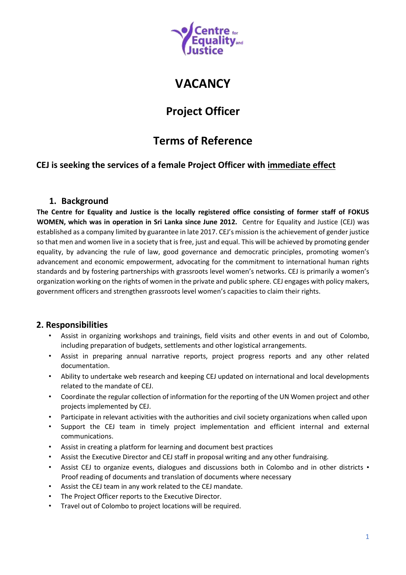

# **VACANCY**

## **Project Officer**

# **Terms of Reference**

### **CEJ is seeking the services of a female Project Officer with immediate effect**

### **1. Background**

**The Centre for Equality and Justice is the locally registered office consisting of former staff of FOKUS WOMEN, which was in operation in Sri Lanka since June 2012.** Centre for Equality and Justice (CEJ) was established as a company limited by guarantee in late 2017. CEJ's mission is the achievement of gender justice so that men and women live in a society that is free, just and equal. This will be achieved by promoting gender equality, by advancing the rule of law, good governance and democratic principles, promoting women's advancement and economic empowerment, advocating for the commitment to international human rights standards and by fostering partnerships with grassroots level women's networks. CEJ is primarily a women's organization working on the rights of women in the private and public sphere. CEJ engages with policy makers, government officers and strengthen grassroots level women's capacities to claim their rights.

### **2. Responsibilities**

- Assist in organizing workshops and trainings, field visits and other events in and out of Colombo, including preparation of budgets, settlements and other logistical arrangements.
- Assist in preparing annual narrative reports, project progress reports and any other related documentation.
- Ability to undertake web research and keeping CEJ updated on international and local developments related to the mandate of CEJ.
- Coordinate the regular collection of information for the reporting of the UN Women project and other projects implemented by CEJ.
- Participate in relevant activities with the authorities and civil society organizations when called upon
- Support the CEJ team in timely project implementation and efficient internal and external communications.
- Assist in creating a platform for learning and document best practices
- Assist the Executive Director and CEJ staff in proposal writing and any other fundraising.
- Assist CEJ to organize events, dialogues and discussions both in Colombo and in other districts Proof reading of documents and translation of documents where necessary
- Assist the CEJ team in any work related to the CEJ mandate.
- The Project Officer reports to the Executive Director.
- Travel out of Colombo to project locations will be required.